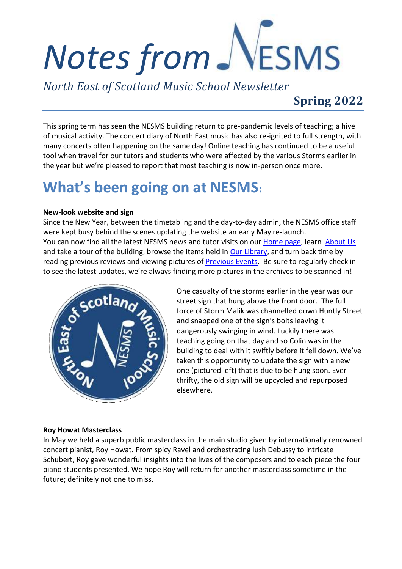# VESMS *Notes from*

*North East of Scotland Music School Newsletter*

### **Spring 2022**

This spring term has seen the NESMS building return to pre-pandemic levels of teaching; a hive of musical activity. The concert diary of North East music has also re-ignited to full strength, with many concerts often happening on the same day! Online teaching has continued to be a useful tool when travel for our tutors and students who were affected by the various Storms earlier in the year but we're pleased to report that most teaching is now in-person once more.

## **What's been going on at NESMS:**

#### **New-look website and sign**

Since the New Year, between the timetabling and the day-to-day admin, the NESMS office staff were kept busy behind the scenes updating the website an early May re-launch. You can now find all the latest NESMS news and tutor visits on our [Home page,](https://www.nesms.org.uk/) learn [About Us](https://www.nesms.org.uk/about-us) and take a tour of the building, browse the items held i[n Our Library,](https://www.nesms.org.uk/music-scores-arranged-by) and turn back time by reading previous reviews and viewing pictures of **Previous Events**. Be sure to regularly check in to see the latest updates, we're always finding more pictures in the archives to be scanned in!



One casualty of the storms earlier in the year was our street sign that hung above the front door. The full force of Storm Malik was channelled down Huntly Street and snapped one of the sign's bolts leaving it dangerously swinging in wind. Luckily there was teaching going on that day and so Colin was in the building to deal with it swiftly before it fell down. We've taken this opportunity to update the sign with a new one (pictured left) that is due to be hung soon. Ever thrifty, the old sign will be upcycled and repurposed elsewhere.

#### **Roy Howat Masterclass**

In May we held a superb public masterclass in the main studio given by internationally renowned concert pianist, Roy Howat. From spicy Ravel and orchestrating lush Debussy to intricate Schubert, Roy gave wonderful insights into the lives of the composers and to each piece the four piano students presented. We hope Roy will return for another masterclass sometime in the future; definitely not one to miss.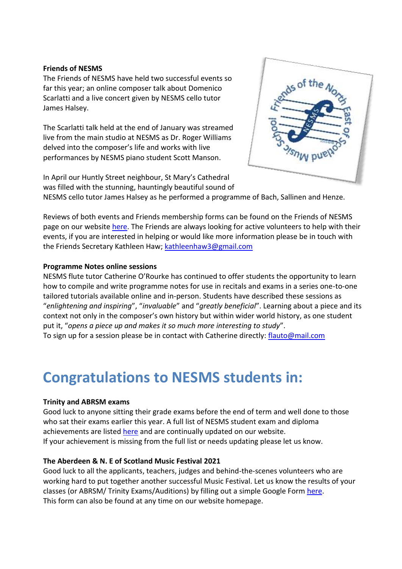#### **Friends of NESMS**

The Friends of NESMS have held two successful events so far this year; an online composer talk about Domenico Scarlatti and a live concert given by NESMS cello tutor James Halsey.

The Scarlatti talk held at the end of January was streamed live from the main studio at NESMS as Dr. Roger Williams delved into the composer's life and works with live performances by NESMS piano student Scott Manson.

In April our Huntly Street neighbour, St Mary's Cathedral was filled with the stunning, hauntingly beautiful sound of



NESMS cello tutor James Halsey as he performed a programme of Bach, Sallinen and Henze.

Reviews of both events and Friends membership forms can be found on the Friends of NESMS page on our website [here.](https://www.nesms.org.uk/our-friends) The Friends are always looking for active volunteers to help with their events, if you are interested in helping or would like more information please be in touch with the Friends Secretary Kathleen Haw; [kathleenhaw3@gmail.com](mailto:kathleenhaw3@gmail.com)

#### **Programme Notes online sessions**

NESMS flute tutor Catherine O'Rourke has continued to offer students the opportunity to learn how to compile and write programme notes for use in recitals and exams in a series one-to-one tailored tutorials available online and in-person. Students have described these sessions as "*enlightening and inspiring*", "*invaluable*" and "*greatly beneficial*". Learning about a piece and its context not only in the composer's own history but within wider world history, as one student put it, "*opens a piece up and makes it so much more interesting to study*".

To sign up for a session please be in contact with Catherine directly: [flauto@mail.com](mailto:flauto@mail.com)

### **Congratulations to NESMS students in:**

#### **Trinity and ABRSM exams**

Good luck to anyone sitting their grade exams before the end of term and well done to those who sat their exams earlier this year. A full list of NESMS student exam and diploma achievements are listed [here](https://www.nesms.org.uk/) and are continually updated on our website. If your achievement is missing from the full list or needs updating please let us know.

#### **The Aberdeen & N. E of Scotland Music Festival 2021**

Good luck to all the applicants, teachers, judges and behind-the-scenes volunteers who are working hard to put together another successful Music Festival. Let us know the results of your classes (or ABRSM/ Trinity Exams/Auditions) by filling out a simple Google Form [here.](https://forms.gle/hyuUhbCXokcuvtLo6) This form can also be found at any time on our website homepage.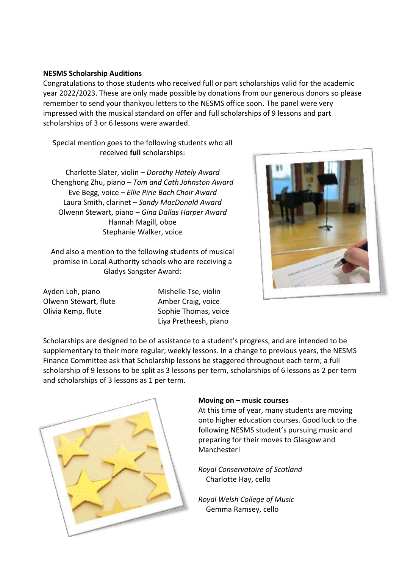#### **NESMS Scholarship Auditions**

Congratulations to those students who received full or part scholarships valid for the academic year 2022/2023. These are only made possible by donations from our generous donors so please remember to send your thankyou letters to the NESMS office soon. The panel were very impressed with the musical standard on offer and full scholarships of 9 lessons and part scholarships of 3 or 6 lessons were awarded.

Special mention goes to the following students who all received **full** scholarships:

Charlotte Slater, violin *– Dorothy Hately Award* Chenghong Zhu, piano *– Tom and Cath Johnston Award* Eve Begg, voice *– Ellie Pirie Bach Choir Award* Laura Smith, clarinet – *Sandy MacDonald Award* Olwenn Stewart, piano *– Gina Dallas Harper Award* Hannah Magill, oboe Stephanie Walker, voice

And also a mention to the following students of musical promise in Local Authority schools who are receiving a Gladys Sangster Award:

Ayden Loh, piano Olwenn Stewart, flute Olivia Kemp, flute

Mishelle Tse, violin Amber Craig, voice Sophie Thomas, voice Liya Pretheesh, piano



Scholarships are designed to be of assistance to a student's progress, and are intended to be supplementary to their more regular, weekly lessons. In a change to previous years, the NESMS Finance Committee ask that Scholarship lessons be staggered throughout each term; a full scholarship of 9 lessons to be split as 3 lessons per term, scholarships of 6 lessons as 2 per term and scholarships of 3 lessons as 1 per term.



#### **Moving on – music courses**

At this time of year, many students are moving onto higher education courses. Good luck to the following NESMS student's pursuing music and preparing for their moves to Glasgow and **Manchester!** 

*Royal Conservatoire of Scotland* Charlotte Hay, cello

*Royal Welsh College of Music* Gemma Ramsey, cello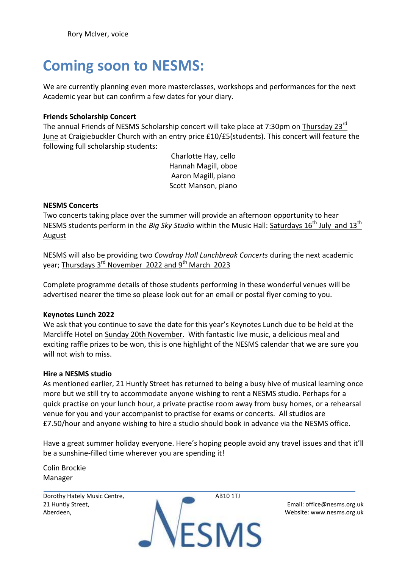### **Coming soon to NESMS:**

We are currently planning even more masterclasses, workshops and performances for the next Academic year but can confirm a few dates for your diary.

#### **Friends Scholarship Concert**

The annual Friends of NESMS Scholarship concert will take place at 7:30pm on Thursday 23<sup>rd</sup> June at Craigiebuckler Church with an entry price £10/£5(students). This concert will feature the following full scholarship students:

> Charlotte Hay, cello Hannah Magill, oboe Aaron Magill, piano Scott Manson, piano

#### **NESMS Concerts**

Two concerts taking place over the summer will provide an afternoon opportunity to hear NESMS students perform in the *Big Sky Studio* within the Music Hall: Saturdays 16<sup>th</sup> July and 13<sup>th</sup> August

NESMS will also be providing two *Cowdray Hall Lunchbreak Concerts* during the next academic year; <u>Thursdays 3<sup>rd</sup> November 2022 and 9<sup>th</sup> March 2023</u>

Complete programme details of those students performing in these wonderful venues will be advertised nearer the time so please look out for an email or postal flyer coming to you.

#### **Keynotes Lunch 2022**

We ask that you continue to save the date for this year's Keynotes Lunch due to be held at the Marcliffe Hotel on Sunday 20th November. With fantastic live music, a delicious meal and exciting raffle prizes to be won, this is one highlight of the NESMS calendar that we are sure you will not wish to miss.

#### **Hire a NESMS studio**

As mentioned earlier, 21 Huntly Street has returned to being a busy hive of musical learning once more but we still try to accommodate anyone wishing to rent a NESMS studio. Perhaps for a quick practise on your lunch hour, a private practise room away from busy homes, or a rehearsal venue for you and your accompanist to practise for exams or concerts. All studios are £7.50/hour and anyone wishing to hire a studio should book in advance via the NESMS office.

Have a great summer holiday everyone. Here's hoping people avoid any travel issues and that it'll be a sunshine-filled time wherever you are spending it!

Colin Brockie Manager

Dorothy Hately Music Centre, 21 Huntly Street, Aberdeen,

AB10 1TJ

**ESMS** 

Email: office@nesms.org.uk Website: www.nesms.org.uk